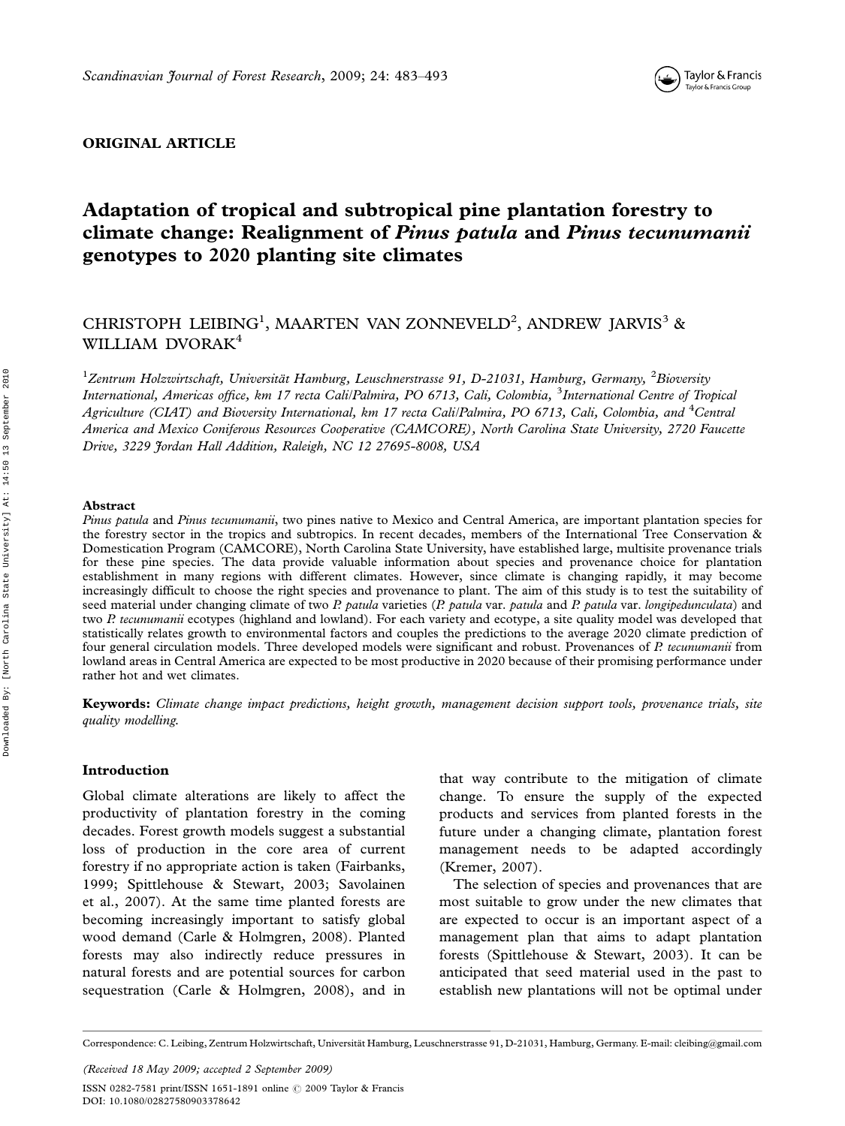

## ORIGINAL ARTICLE

# Adaptation of tropical and subtropical pine plantation forestry to climate change: Realignment of Pinus patula and Pinus tecunumanii genotypes to 2020 planting site climates

## CHRISTOPH LEIBING<sup>1</sup>, MAARTEN VAN ZONNEVELD<sup>2</sup>, ANDREW JARVIS<sup>3</sup> & WILLIAM DVORAK<sup>4</sup>

 $^1$ Zentrum Holzwirtschaft, Universität Hamburg, Leuschnerstrasse 91, D-21031, Hamburg, Germany,  $^2$ Bioversity International, Americas office, km 17 recta Cali/Palmira, PO 6713, Cali, Colombia, <sup>3</sup>International Centre of Tropical Agriculture (CIAT) and Bioversity International, km 17 recta Cali/Palmira, PO 6713, Cali, Colombia, and <sup>4</sup>Central America and Mexico Coniferous Resources Cooperative (CAMCORE), North Carolina State University, 2720 Faucette Drive, 3229 Jordan Hall Addition, Raleigh, NC 12 27695-8008, USA

#### Abstract

Pinus patula and Pinus tecunumanii, two pines native to Mexico and Central America, are important plantation species for the forestry sector in the tropics and subtropics. In recent decades, members of the International Tree Conservation & Domestication Program (CAMCORE), North Carolina State University, have established large, multisite provenance trials for these pine species. The data provide valuable information about species and provenance choice for plantation establishment in many regions with different climates. However, since climate is changing rapidly, it may become increasingly difficult to choose the right species and provenance to plant. The aim of this study is to test the suitability of seed material under changing climate of two P. patula varieties (P. patula var. patula and P. patula var. longipedunculata) and two P. tecunumanii ecotypes (highland and lowland). For each variety and ecotype, a site quality model was developed that statistically relates growth to environmental factors and couples the predictions to the average 2020 climate prediction of four general circulation models. Three developed models were significant and robust. Provenances of P. tecunumanii from lowland areas in Central America are expected to be most productive in 2020 because of their promising performance under rather hot and wet climates.

Keywords: Climate change impact predictions, height growth, management decision support tools, provenance trials, site quality modelling.

## Introduction

Global climate alterations are likely to affect the productivity of plantation forestry in the coming decades. Forest growth models suggest a substantial loss of production in the core area of current forestry if no appropriate action is taken (Fairbanks, 1999; Spittlehouse & Stewart, 2003; Savolainen et al., 2007). At the same time planted forests are becoming increasingly important to satisfy global wood demand (Carle & Holmgren, 2008). Planted forests may also indirectly reduce pressures in natural forests and are potential sources for carbon sequestration (Carle & Holmgren, 2008), and in

that way contribute to the mitigation of climate change. To ensure the supply of the expected products and services from planted forests in the future under a changing climate, plantation forest management needs to be adapted accordingly (Kremer, 2007).

The selection of species and provenances that are most suitable to grow under the new climates that are expected to occur is an important aspect of a management plan that aims to adapt plantation forests (Spittlehouse & Stewart, 2003). It can be anticipated that seed material used in the past to establish new plantations will not be optimal under

(Received 18 May 2009; accepted 2 September 2009) ISSN 0282-7581 print/ISSN 1651-1891 online © 2009 Taylor & Francis DOI: 10.1080/02827580903378642

Correspondence: C. Leibing, Zentrum Holzwirtschaft, Universität Hamburg, Leuschnerstrasse 91, D-21031, Hamburg, Germany. E-mail: cleibing@gmail.com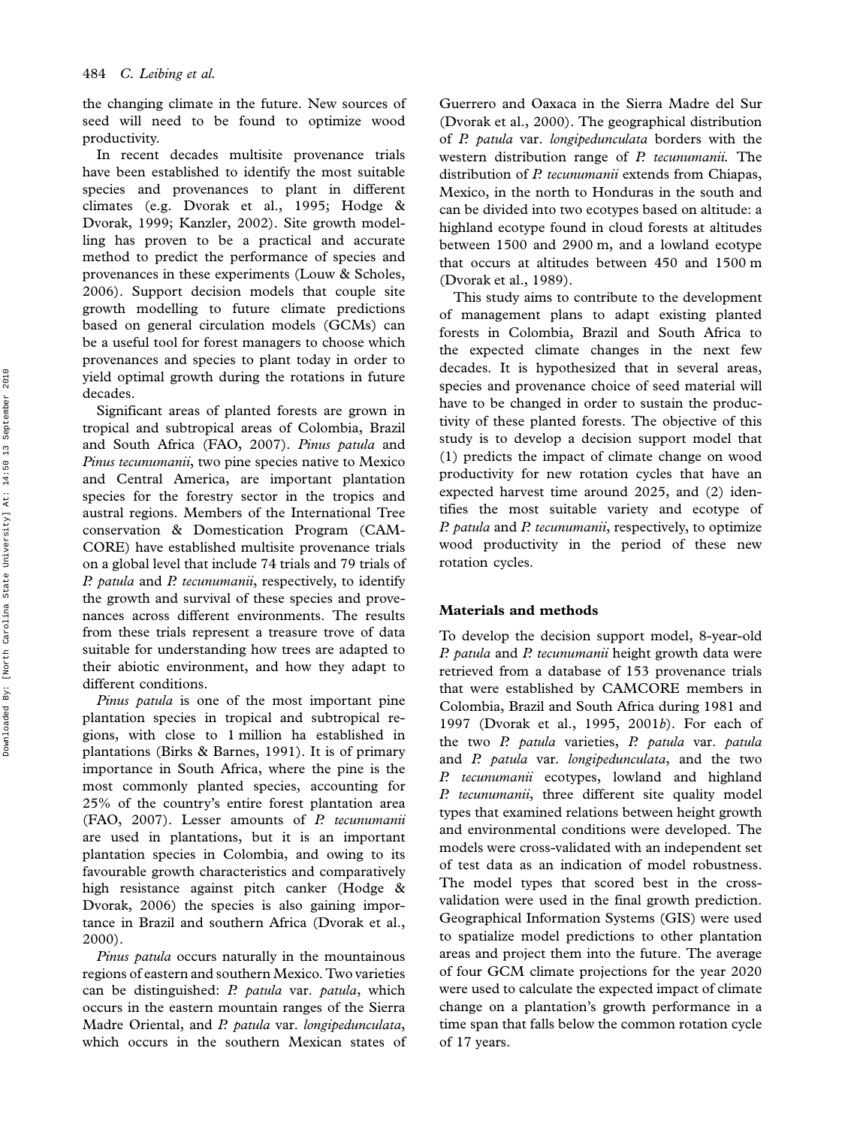the changing climate in the future. New sources of seed will need to be found to optimize wood productivity.

In recent decades multisite provenance trials have been established to identify the most suitable species and provenances to plant in different climates (e.g. Dvorak et al., 1995; Hodge & Dvorak, 1999; Kanzler, 2002). Site growth modelling has proven to be a practical and accurate method to predict the performance of species and provenances in these experiments (Louw & Scholes, 2006). Support decision models that couple site growth modelling to future climate predictions based on general circulation models (GCMs) can be a useful tool for forest managers to choose which provenances and species to plant today in order to yield optimal growth during the rotations in future decades.

Significant areas of planted forests are grown in tropical and subtropical areas of Colombia, Brazil and South Africa (FAO, 2007). Pinus patula and Pinus tecunumanii, two pine species native to Mexico and Central America, are important plantation species for the forestry sector in the tropics and austral regions. Members of the International Tree conservation & Domestication Program (CAM-CORE) have established multisite provenance trials on a global level that include 74 trials and 79 trials of P. patula and P. tecunumanii, respectively, to identify the growth and survival of these species and provenances across different environments. The results from these trials represent a treasure trove of data suitable for understanding how trees are adapted to their abiotic environment, and how they adapt to different conditions.

Pinus patula is one of the most important pine plantation species in tropical and subtropical regions, with close to 1 million ha established in plantations (Birks & Barnes, 1991). It is of primary importance in South Africa, where the pine is the most commonly planted species, accounting for 25% of the country's entire forest plantation area (FAO, 2007). Lesser amounts of P. tecunumanii are used in plantations, but it is an important plantation species in Colombia, and owing to its favourable growth characteristics and comparatively high resistance against pitch canker (Hodge & Dvorak, 2006) the species is also gaining importance in Brazil and southern Africa (Dvorak et al., 2000).

Pinus patula occurs naturally in the mountainous regions of eastern and southern Mexico. Two varieties can be distinguished: P. patula var. patula, which occurs in the eastern mountain ranges of the Sierra Madre Oriental, and P. patula var. longipedunculata, which occurs in the southern Mexican states of Guerrero and Oaxaca in the Sierra Madre del Sur (Dvorak et al., 2000). The geographical distribution of P. patula var. longipedunculata borders with the western distribution range of P. tecunumanii. The distribution of P. tecunumanii extends from Chiapas, Mexico, in the north to Honduras in the south and can be divided into two ecotypes based on altitude: a highland ecotype found in cloud forests at altitudes between 1500 and 2900 m, and a lowland ecotype that occurs at altitudes between 450 and 1500 m (Dvorak et al., 1989).

This study aims to contribute to the development of management plans to adapt existing planted forests in Colombia, Brazil and South Africa to the expected climate changes in the next few decades. It is hypothesized that in several areas, species and provenance choice of seed material will have to be changed in order to sustain the productivity of these planted forests. The objective of this study is to develop a decision support model that (1) predicts the impact of climate change on wood productivity for new rotation cycles that have an expected harvest time around 2025, and (2) identifies the most suitable variety and ecotype of P. patula and P. tecunumanii, respectively, to optimize wood productivity in the period of these new rotation cycles.

## Materials and methods

To develop the decision support model, 8-year-old P. patula and P. tecunumanii height growth data were retrieved from a database of 153 provenance trials that were established by CAMCORE members in Colombia, Brazil and South Africa during 1981 and 1997 (Dvorak et al., 1995, 2001b). For each of the two P. patula varieties, P. patula var. patula and P. patula var. longipedunculata, and the two P. tecunumanii ecotypes, lowland and highland P. tecunumanii, three different site quality model types that examined relations between height growth and environmental conditions were developed. The models were cross-validated with an independent set of test data as an indication of model robustness. The model types that scored best in the crossvalidation were used in the final growth prediction. Geographical Information Systems (GIS) were used to spatialize model predictions to other plantation areas and project them into the future. The average of four GCM climate projections for the year 2020 were used to calculate the expected impact of climate change on a plantation's growth performance in a time span that falls below the common rotation cycle of 17 years.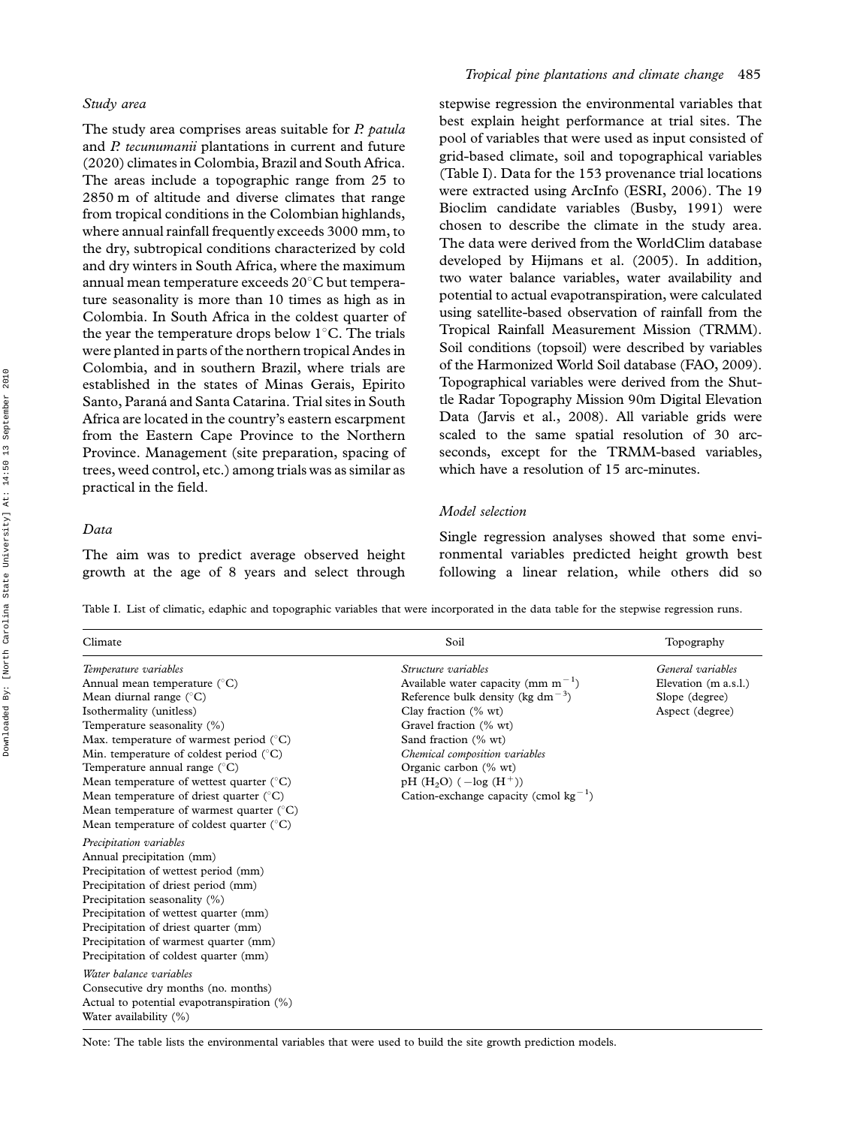#### Study area

The study area comprises areas suitable for P. patula and P. tecunumanii plantations in current and future (2020) climates in Colombia, Brazil and South Africa. The areas include a topographic range from 25 to 2850 m of altitude and diverse climates that range from tropical conditions in the Colombian highlands, where annual rainfall frequently exceeds 3000 mm, to the dry, subtropical conditions characterized by cold and dry winters in South Africa, where the maximum annual mean temperature exceeds  $20^{\circ}$ C but temperature seasonality is more than 10 times as high as in Colombia. In South Africa in the coldest quarter of the year the temperature drops below  $1^{\circ}$ C. The trials were planted in parts of the northern tropical Andes in Colombia, and in southern Brazil, where trials are established in the states of Minas Gerais, Epirito Santo, Paraná and Santa Catarina. Trial sites in South Africa are located in the country's eastern escarpment from the Eastern Cape Province to the Northern Province. Management (site preparation, spacing of trees, weed control, etc.) among trials was as similar as practical in the field.

## Data

The aim was to predict average observed height growth at the age of 8 years and select through

## Tropical pine plantations and climate change 485

stepwise regression the environmental variables that best explain height performance at trial sites. The pool of variables that were used as input consisted of grid-based climate, soil and topographical variables (Table I). Data for the 153 provenance trial locations were extracted using ArcInfo (ESRI, 2006). The 19 Bioclim candidate variables (Busby, 1991) were chosen to describe the climate in the study area. The data were derived from the WorldClim database developed by Hijmans et al. (2005). In addition, two water balance variables, water availability and potential to actual evapotranspiration, were calculated using satellite-based observation of rainfall from the Tropical Rainfall Measurement Mission (TRMM). Soil conditions (topsoil) were described by variables of the Harmonized World Soil database (FAO, 2009). Topographical variables were derived from the Shuttle Radar Topography Mission 90m Digital Elevation Data (Jarvis et al., 2008). All variable grids were scaled to the same spatial resolution of 30 arcseconds, except for the TRMM-based variables, which have a resolution of 15 arc-minutes.

## Model selection

Single regression analyses showed that some environmental variables predicted height growth best following a linear relation, while others did so

Table I. List of climatic, edaphic and topographic variables that were incorporated in the data table for the stepwise regression runs.

| Climate                                                                                                                                                                                                                                                                                                                                                                                                                                                                                                                  | Soil                                                                                                                                                                                                                                                                                                                                                 | Topography                                                                     |
|--------------------------------------------------------------------------------------------------------------------------------------------------------------------------------------------------------------------------------------------------------------------------------------------------------------------------------------------------------------------------------------------------------------------------------------------------------------------------------------------------------------------------|------------------------------------------------------------------------------------------------------------------------------------------------------------------------------------------------------------------------------------------------------------------------------------------------------------------------------------------------------|--------------------------------------------------------------------------------|
| Temperature variables<br>Annual mean temperature (°C)<br>Mean diurnal range $(^{\circ}C)$<br>Isothermality (unitless)<br>Temperature seasonality (%)<br>Max. temperature of warmest period $(^{\circ}C)$<br>Min. temperature of coldest period $(^{\circ}C)$<br>Temperature annual range $(^{\circ}C)$<br>Mean temperature of wettest quarter $(^{\circ}C)$<br>Mean temperature of driest quarter $(^{\circ}C)$<br>Mean temperature of warmest quarter $(^\circ C)$<br>Mean temperature of coldest quarter $(^{\circ}C)$ | Structure variables<br>Available water capacity (mm $m^{-1}$ )<br>Reference bulk density (kg dm <sup><math>-3</math></sup> )<br>Clay fraction (% wt)<br>Gravel fraction (% wt)<br>Sand fraction (% wt)<br>Chemical composition variables<br>Organic carbon (% wt)<br>pH $(H_2O)$ $(-log (H^+))$<br>Cation-exchange capacity (cmol kg <sup>-1</sup> ) | General variables<br>Elevation (m a.s.l.)<br>Slope (degree)<br>Aspect (degree) |
| Precipitation variables<br>Annual precipitation (mm)<br>Precipitation of wettest period (mm)<br>Precipitation of driest period (mm)<br>Precipitation seasonality (%)<br>Precipitation of wettest quarter (mm)<br>Precipitation of driest quarter (mm)<br>Precipitation of warmest quarter (mm)<br>Precipitation of coldest quarter (mm)<br>Water balance variables<br>Consecutive dry months (no. months)<br>Actual to potential evapotranspiration (%)<br>Water availability (%)                                        |                                                                                                                                                                                                                                                                                                                                                      |                                                                                |

Note: The table lists the environmental variables that were used to build the site growth prediction models.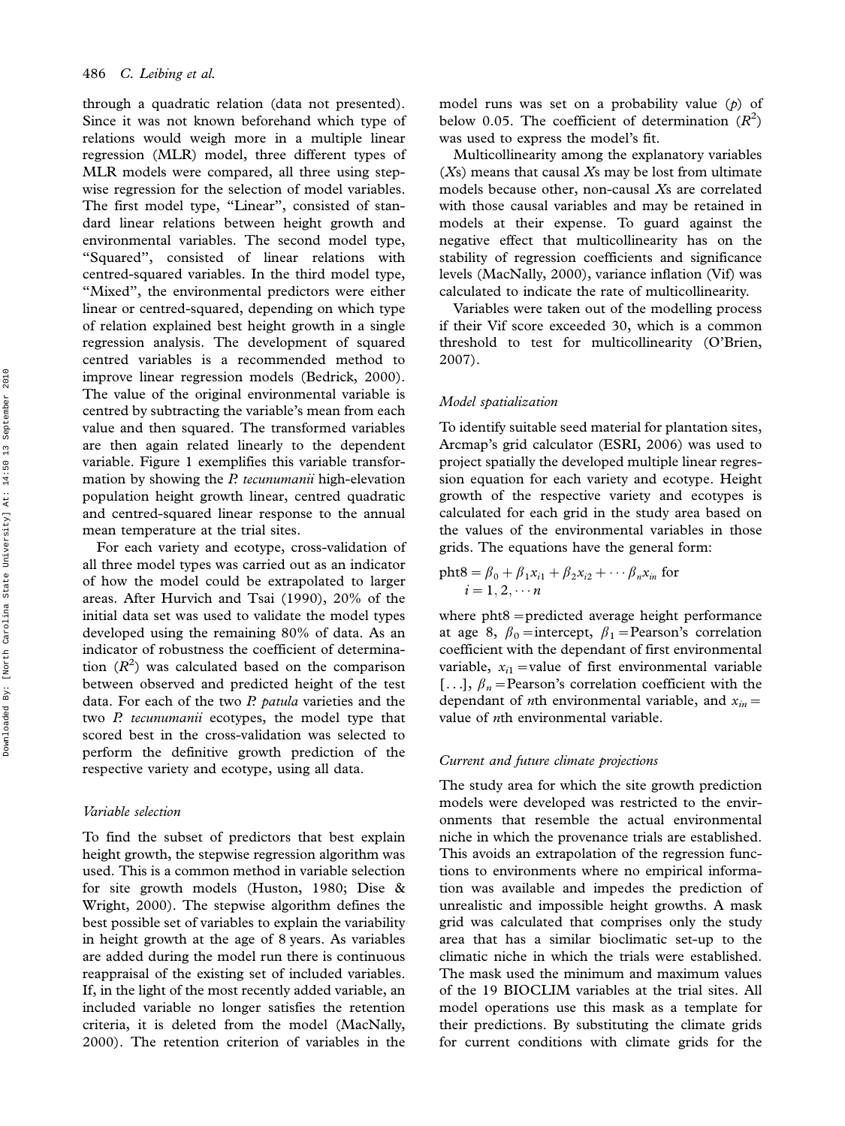through a quadratic relation (data not presented). Since it was not known beforehand which type of relations would weigh more in a multiple linear regression (MLR) model, three different types of MLR models were compared, all three using stepwise regression for the selection of model variables. The first model type, "Linear", consisted of standard linear relations between height growth and environmental variables. The second model type, ''Squared'', consisted of linear relations with centred-squared variables. In the third model type, "Mixed", the environmental predictors were either linear or centred-squared, depending on which type of relation explained best height growth in a single regression analysis. The development of squared centred variables is a recommended method to improve linear regression models (Bedrick, 2000). The value of the original environmental variable is centred by subtracting the variable's mean from each value and then squared. The transformed variables are then again related linearly to the dependent variable. Figure 1 exemplifies this variable transformation by showing the *P. tecunumanii* high-elevation population height growth linear, centred quadratic and centred-squared linear response to the annual mean temperature at the trial sites.

For each variety and ecotype, cross-validation of all three model types was carried out as an indicator of how the model could be extrapolated to larger areas. After Hurvich and Tsai (1990), 20% of the initial data set was used to validate the model types developed using the remaining 80% of data. As an indicator of robustness the coefficient of determination  $(R^2)$  was calculated based on the comparison between observed and predicted height of the test data. For each of the two  $P$ . patula varieties and the two P. tecunumanii ecotypes, the model type that scored best in the cross-validation was selected to perform the definitive growth prediction of the respective variety and ecotype, using all data.

## Variable selection

To find the subset of predictors that best explain height growth, the stepwise regression algorithm was used. This is a common method in variable selection for site growth models (Huston, 1980; Dise & Wright, 2000). The stepwise algorithm defines the best possible set of variables to explain the variability in height growth at the age of 8 years. As variables are added during the model run there is continuous reappraisal of the existing set of included variables. If, in the light of the most recently added variable, an included variable no longer satisfies the retention criteria, it is deleted from the model (MacNally, 2000). The retention criterion of variables in the model runs was set on a probability value  $(p)$  of below 0.05. The coefficient of determination  $(R^2)$ was used to express the model's fit.

Multicollinearity among the explanatory variables  $(X<sub>s</sub>)$  means that causal  $X<sub>s</sub>$  may be lost from ultimate models because other, non-causal Xs are correlated with those causal variables and may be retained in models at their expense. To guard against the negative effect that multicollinearity has on the stability of regression coefficients and significance levels (MacNally, 2000), variance inflation (Vif) was calculated to indicate the rate of multicollinearity.

Variables were taken out of the modelling process if their Vif score exceeded 30, which is a common threshold to test for multicollinearity (O'Brien, 2007).

#### Model spatialization

To identify suitable seed material for plantation sites, Arcmap's grid calculator (ESRI, 2006) was used to project spatially the developed multiple linear regression equation for each variety and ecotype. Height growth of the respective variety and ecotypes is calculated for each grid in the study area based on the values of the environmental variables in those grids. The equations have the general form:

$$
\begin{aligned} \text{pht8} &= \beta_0 + \beta_1 x_{i1} + \beta_2 x_{i2} + \cdots \beta_n x_{in} \text{ for } \\ i &= 1, 2, \cdots n \end{aligned}
$$

where  $pht8 =$  predicted average height performance at age 8,  $\beta_0$  = intercept,  $\beta_1$  = Pearson's correlation coefficient with the dependant of first environmental variable,  $x_{i1}$  = value of first environmental variable [...],  $\beta_n$ =Pearson's correlation coefficient with the dependant of *n*th environmental variable, and  $x_{in}$  = value of  $n$ th environmental variable.

#### Current and future climate projections

The study area for which the site growth prediction models were developed was restricted to the environments that resemble the actual environmental niche in which the provenance trials are established. This avoids an extrapolation of the regression functions to environments where no empirical information was available and impedes the prediction of unrealistic and impossible height growths. A mask grid was calculated that comprises only the study area that has a similar bioclimatic set-up to the climatic niche in which the trials were established. The mask used the minimum and maximum values of the 19 BIOCLIM variables at the trial sites. All model operations use this mask as a template for their predictions. By substituting the climate grids for current conditions with climate grids for the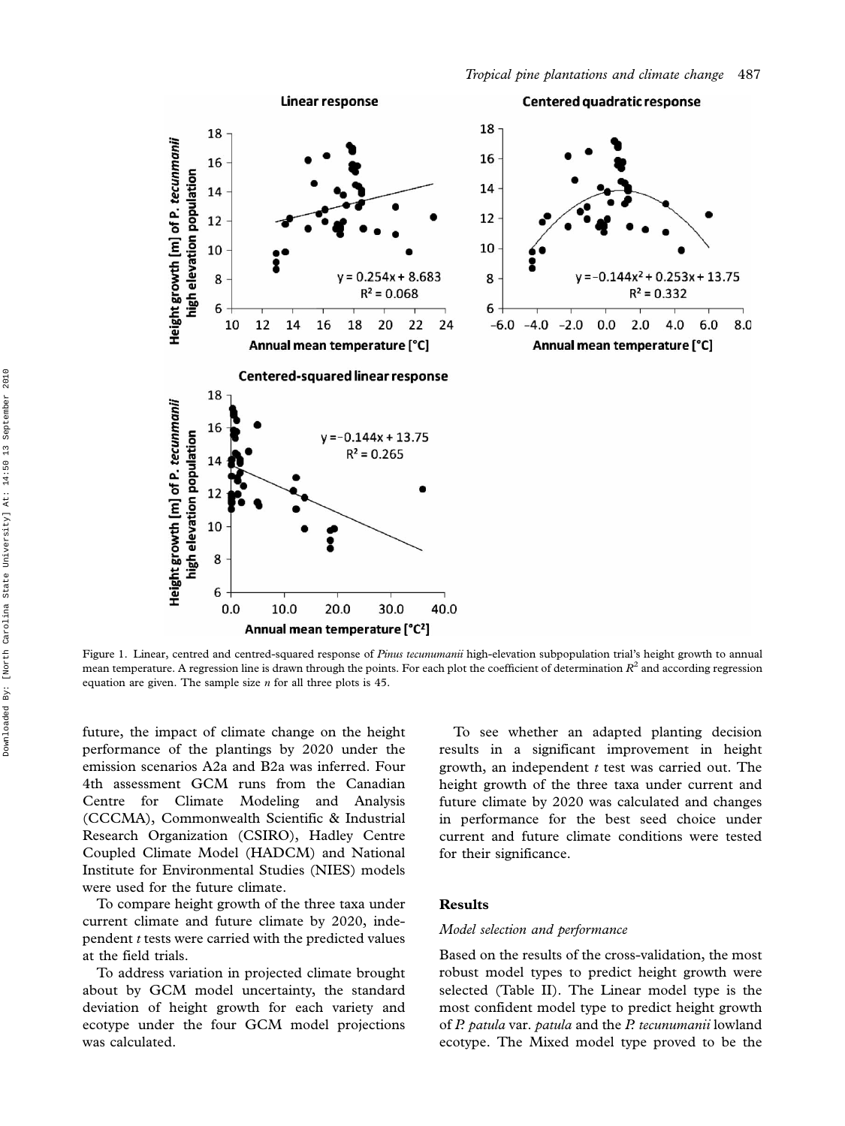

Figure 1. Linear, centred and centred-squared response of Pinus tecunumanii high-elevation subpopulation trial's height growth to annual mean temperature. A regression line is drawn through the points. For each plot the coefficient of determination  $R^2$  and according regression equation are given. The sample size *n* for all three plots is 45.

future, the impact of climate change on the height performance of the plantings by 2020 under the emission scenarios A2a and B2a was inferred. Four 4th assessment GCM runs from the Canadian Centre for Climate Modeling and Analysis (CCCMA), Commonwealth Scientific & Industrial Research Organization (CSIRO), Hadley Centre Coupled Climate Model (HADCM) and National Institute for Environmental Studies (NIES) models were used for the future climate.

To compare height growth of the three taxa under current climate and future climate by 2020, independent t tests were carried with the predicted values at the field trials.

To address variation in projected climate brought about by GCM model uncertainty, the standard deviation of height growth for each variety and ecotype under the four GCM model projections was calculated.

To see whether an adapted planting decision results in a significant improvement in height growth, an independent  $t$  test was carried out. The height growth of the three taxa under current and future climate by 2020 was calculated and changes in performance for the best seed choice under current and future climate conditions were tested for their significance.

## Results

#### Model selection and performance

Based on the results of the cross-validation, the most robust model types to predict height growth were selected (Table II). The Linear model type is the most confident model type to predict height growth of P. patula var. patula and the P. tecunumanii lowland ecotype. The Mixed model type proved to be the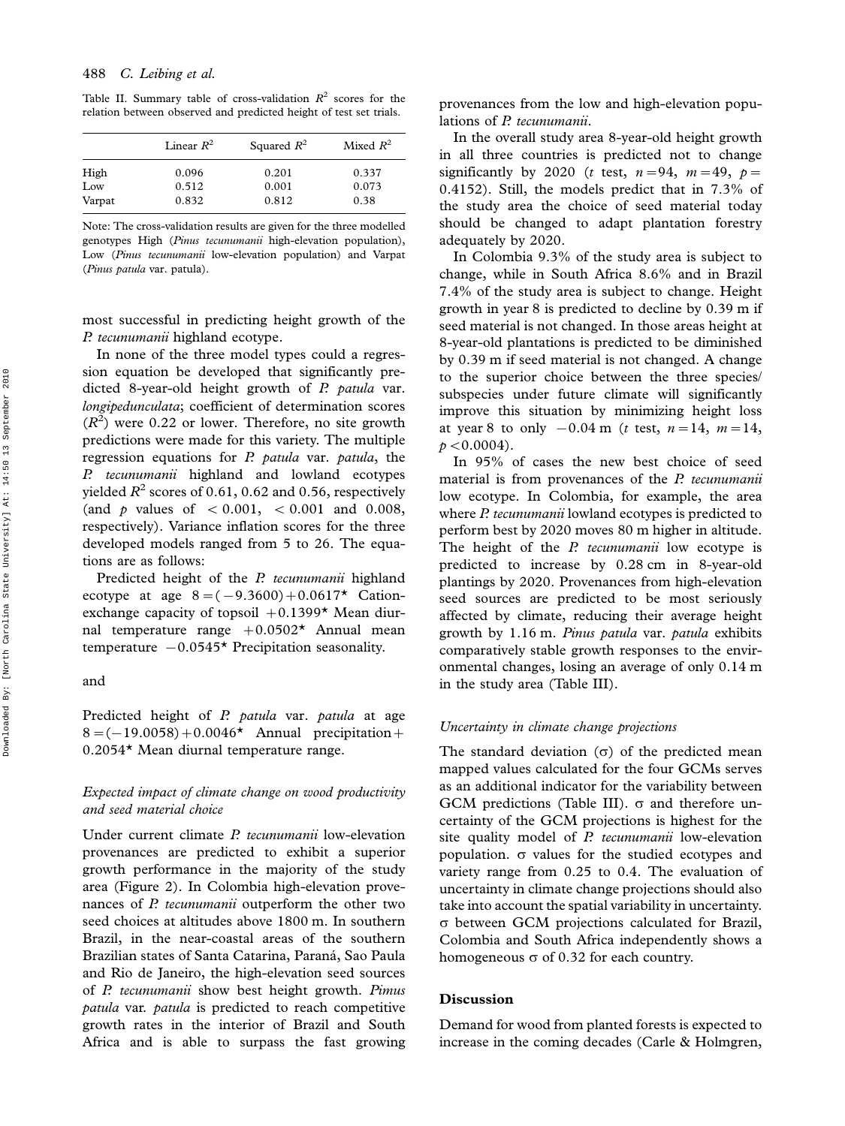Table II. Summary table of cross-validation  $R^2$  scores for the relation between observed and predicted height of test set trials.

|        | Linear $R^2$ | Squared $R^2$ | Mixed $R^2$ |  |  |
|--------|--------------|---------------|-------------|--|--|
| High   | 0.096        | 0.201         | 0.337       |  |  |
| Low    | 0.512        | 0.001         | 0.073       |  |  |
| Varpat | 0.832        | 0.812         | 0.38        |  |  |

Note: The cross-validation results are given for the three modelled genotypes High (Pinus tecunumanii high-elevation population), Low (Pinus tecunumanii low-elevation population) and Varpat (Pinus patula var. patula).

most successful in predicting height growth of the P. tecunumanii highland ecotype.

In none of the three model types could a regression equation be developed that significantly predicted 8-year-old height growth of P. patula var. longipedunculata; coefficient of determination scores  $(R<sup>2</sup>)$  were 0.22 or lower. Therefore, no site growth predictions were made for this variety. The multiple regression equations for P. patula var. patula, the P. tecunumanii highland and lowland ecotypes yielded  $R^2$  scores of 0.61, 0.62 and 0.56, respectively (and p values of  $< 0.001$ ,  $< 0.001$  and 0.008, respectively). Variance inflation scores for the three developed models ranged from 5 to 26. The equations are as follows:

Predicted height of the P. tecunumanii highland ecotype at age  $8 = (-9.3600) + 0.0617$  Cationexchange capacity of topsoil  $+0.1399*$  Mean diurnal temperature range  $+0.0502*$  Annual mean temperature  $-0.0545*$  Precipitation seasonality.

## and

Predicted height of P. patula var. patula at age  $8 = (-19.0058) + 0.0046*$  Annual precipitation + 0.2054\* Mean diurnal temperature range.

## Expected impact of climate change on wood productivity and seed material choice

Under current climate *P. tecunumanii* low-elevation provenances are predicted to exhibit a superior growth performance in the majority of the study area (Figure 2). In Colombia high-elevation provenances of P. tecunumanii outperform the other two seed choices at altitudes above 1800 m. In southern Brazil, in the near-coastal areas of the southern Brazilian states of Santa Catarina, Paraná, Sao Paula and Rio de Janeiro, the high-elevation seed sources of P. tecunumanii show best height growth. Pimus patula var. patula is predicted to reach competitive growth rates in the interior of Brazil and South Africa and is able to surpass the fast growing provenances from the low and high-elevation populations of P. tecunumanii.

In the overall study area 8-year-old height growth in all three countries is predicted not to change significantly by 2020 (*t* test,  $n=94$ ,  $m=49$ ,  $p=$ 0.4152). Still, the models predict that in 7.3% of the study area the choice of seed material today should be changed to adapt plantation forestry adequately by 2020.

In Colombia 9.3% of the study area is subject to change, while in South Africa 8.6% and in Brazil 7.4% of the study area is subject to change. Height growth in year 8 is predicted to decline by 0.39 m if seed material is not changed. In those areas height at 8-year-old plantations is predicted to be diminished by 0.39 m if seed material is not changed. A change to the superior choice between the three species/ subspecies under future climate will significantly improve this situation by minimizing height loss at year 8 to only  $-0.04 \text{ m}$  (*t* test,  $n=14$ ,  $m=14$ ,  $p < 0.0004$ ).

In 95% of cases the new best choice of seed material is from provenances of the P. tecunumanii low ecotype. In Colombia, for example, the area where P. tecunumanii lowland ecotypes is predicted to perform best by 2020 moves 80 m higher in altitude. The height of the P. tecunumanii low ecotype is predicted to increase by 0.28 cm in 8-year-old plantings by 2020. Provenances from high-elevation seed sources are predicted to be most seriously affected by climate, reducing their average height growth by 1.16 m. Pinus patula var. patula exhibits comparatively stable growth responses to the environmental changes, losing an average of only 0.14 m in the study area (Table III).

## Uncertainty in climate change projections

The standard deviation  $(\sigma)$  of the predicted mean mapped values calculated for the four GCMs serves as an additional indicator for the variability between GCM predictions (Table III).  $\sigma$  and therefore uncertainty of the GCM projections is highest for the site quality model of P. tecunumanii low-elevation population.  $\sigma$  values for the studied ecotypes and variety range from 0.25 to 0.4. The evaluation of uncertainty in climate change projections should also take into account the spatial variability in uncertainty.  $\sigma$  between GCM projections calculated for Brazil, Colombia and South Africa independently shows a homogeneous  $\sigma$  of 0.32 for each country.

## Discussion

Demand for wood from planted forests is expected to increase in the coming decades (Carle & Holmgren,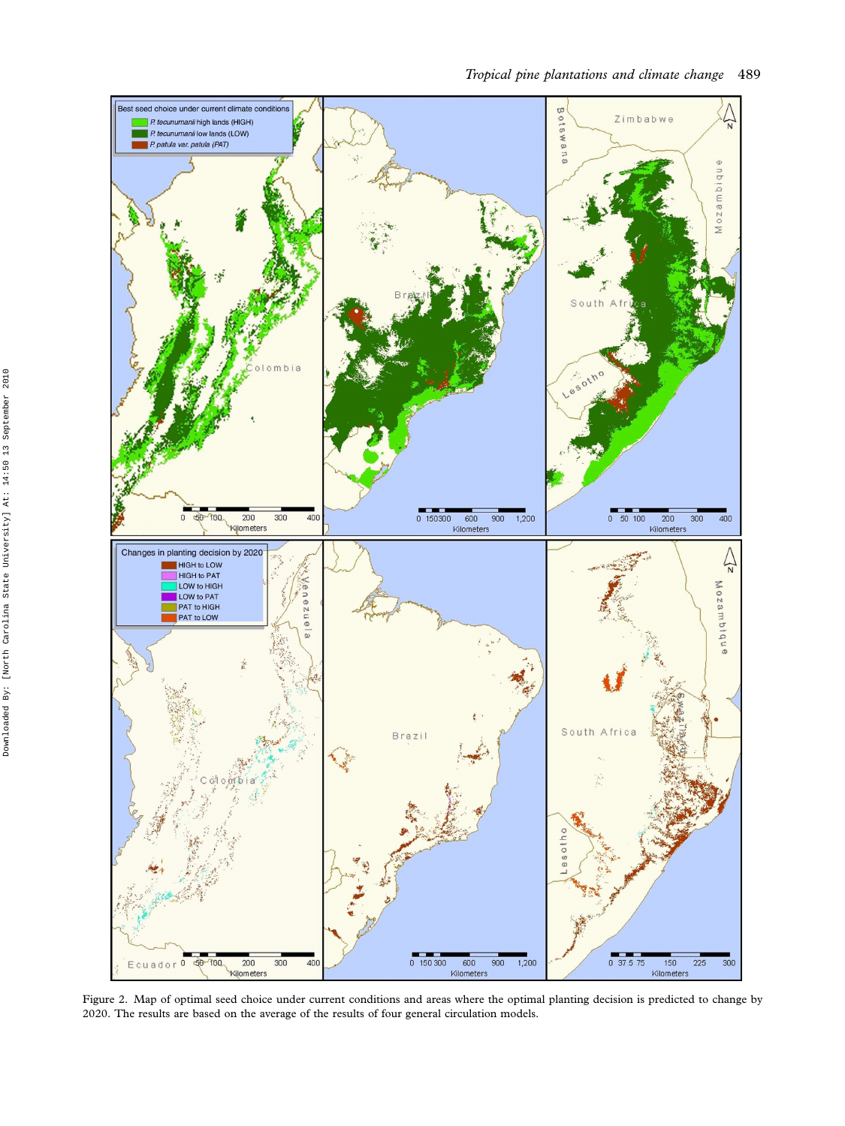

Figure 2. Map of optimal seed choice under current conditions and areas where the optimal planting decision is predicted to change by 2020. The results are based on the average of the results of four general circulation models.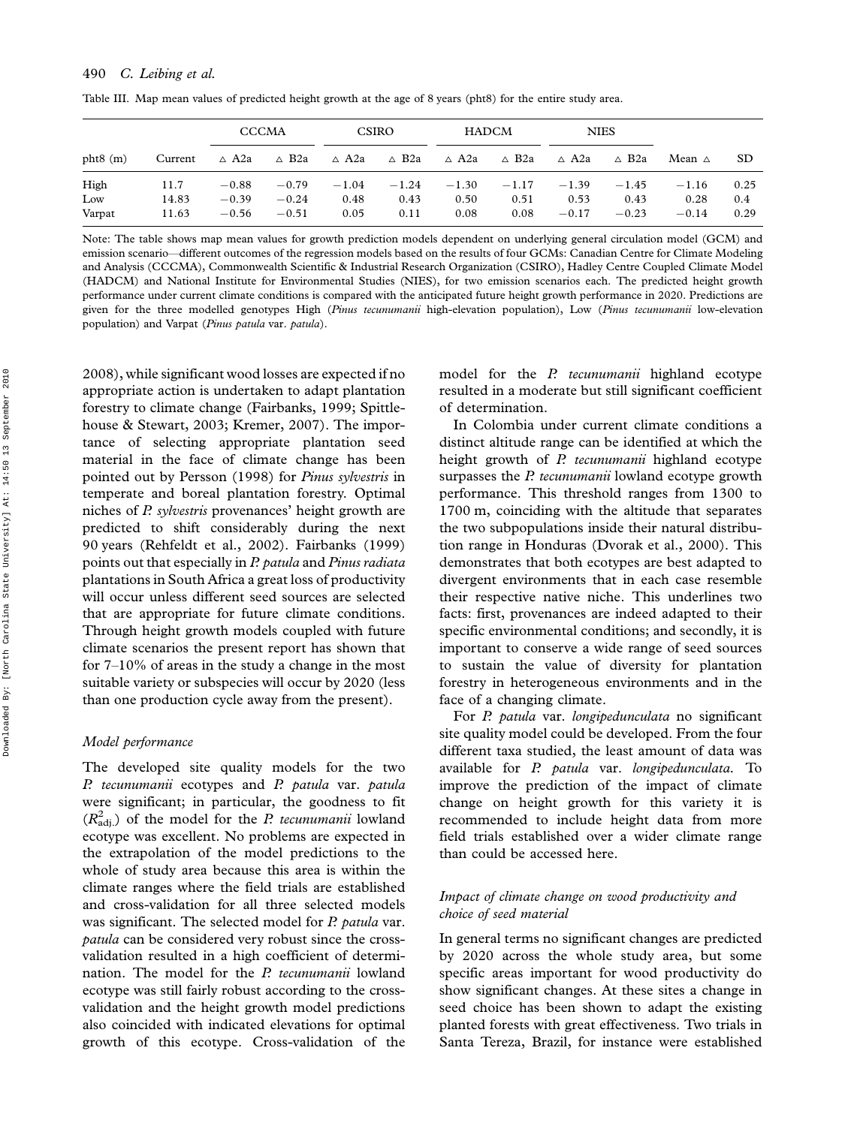|               |                | <b>CCCMA</b>       |                    | <b>CSIRO</b>    |              | <b>HADCM</b> |              | <b>NIES</b>     |                 |                  |             |
|---------------|----------------|--------------------|--------------------|-----------------|--------------|--------------|--------------|-----------------|-----------------|------------------|-------------|
| phi(6)        | Current        | $\triangle$ A2a    | $\triangle$ B2a    | $\triangle$ A2a | ∆ B2a        | ∆ A2a        | ∆ B2a        | ∆ A2a           | $\triangle$ B2a | Mean $\triangle$ | -SD         |
| High          | 11.7           | $-0.88$            | $-0.79$            | $-1.04$         | $-1.24$      | $-1.30$      | $-1.17$      | $-1.39$         | $-1.45$         | $-1.16$          | 0.25        |
| Low<br>Varpat | 14.83<br>11.63 | $-0.39$<br>$-0.56$ | $-0.24$<br>$-0.51$ | 0.48<br>0.05    | 0.43<br>0.11 | 0.50<br>0.08 | 0.51<br>0.08 | 0.53<br>$-0.17$ | 0.43<br>$-0.23$ | 0.28<br>$-0.14$  | 0.4<br>0.29 |

Table III. Map mean values of predicted height growth at the age of 8 years (pht8) for the entire study area.

Note: The table shows map mean values for growth prediction models dependent on underlying general circulation model (GCM) and emission scenario-different outcomes of the regression models based on the results of four GCMs: Canadian Centre for Climate Modeling and Analysis (CCCMA), Commonwealth Scientific & Industrial Research Organization (CSIRO), Hadley Centre Coupled Climate Model (HADCM) and National Institute for Environmental Studies (NIES), for two emission scenarios each. The predicted height growth performance under current climate conditions is compared with the anticipated future height growth performance in 2020. Predictions are given for the three modelled genotypes High (Pinus tecunumanii high-elevation population), Low (Pinus tecunumanii low-elevation population) and Varpat (Pinus patula var. patula).

2008), while significant wood losses are expected if no appropriate action is undertaken to adapt plantation forestry to climate change (Fairbanks, 1999; Spittlehouse & Stewart, 2003; Kremer, 2007). The importance of selecting appropriate plantation seed material in the face of climate change has been pointed out by Persson (1998) for Pinus sylvestris in temperate and boreal plantation forestry. Optimal niches of P. sylvestris provenances' height growth are predicted to shift considerably during the next 90 years (Rehfeldt et al., 2002). Fairbanks (1999) points out that especially in P. patula and Pinus radiata plantations in South Africa a great loss of productivity will occur unless different seed sources are selected that are appropriate for future climate conditions. Through height growth models coupled with future climate scenarios the present report has shown that for  $7-10\%$  of areas in the study a change in the most suitable variety or subspecies will occur by 2020 (less than one production cycle away from the present).

#### Model performance

The developed site quality models for the two P. tecunumanii ecotypes and P. patula var. patula were significant; in particular, the goodness to fit  $(R<sub>adj</sub><sup>2</sup>)$  of the model for the *P. tecunumanii* lowland ecotype was excellent. No problems are expected in the extrapolation of the model predictions to the whole of study area because this area is within the climate ranges where the field trials are established and cross-validation for all three selected models was significant. The selected model for P. patula var. patula can be considered very robust since the crossvalidation resulted in a high coefficient of determination. The model for the P. tecunumanii lowland ecotype was still fairly robust according to the crossvalidation and the height growth model predictions also coincided with indicated elevations for optimal growth of this ecotype. Cross-validation of the model for the *P. tecunumanii* highland ecotype resulted in a moderate but still significant coefficient of determination.

In Colombia under current climate conditions a distinct altitude range can be identified at which the height growth of P. tecunumanii highland ecotype surpasses the P. tecunumanii lowland ecotype growth performance. This threshold ranges from 1300 to 1700 m, coinciding with the altitude that separates the two subpopulations inside their natural distribution range in Honduras (Dvorak et al., 2000). This demonstrates that both ecotypes are best adapted to divergent environments that in each case resemble their respective native niche. This underlines two facts: first, provenances are indeed adapted to their specific environmental conditions; and secondly, it is important to conserve a wide range of seed sources to sustain the value of diversity for plantation forestry in heterogeneous environments and in the face of a changing climate.

For P. patula var. longipedunculata no significant site quality model could be developed. From the four different taxa studied, the least amount of data was available for P. patula var. longipedunculata. To improve the prediction of the impact of climate change on height growth for this variety it is recommended to include height data from more field trials established over a wider climate range than could be accessed here.

## Impact of climate change on wood productivity and choice of seed material

In general terms no significant changes are predicted by 2020 across the whole study area, but some specific areas important for wood productivity do show significant changes. At these sites a change in seed choice has been shown to adapt the existing planted forests with great effectiveness. Two trials in Santa Tereza, Brazil, for instance were established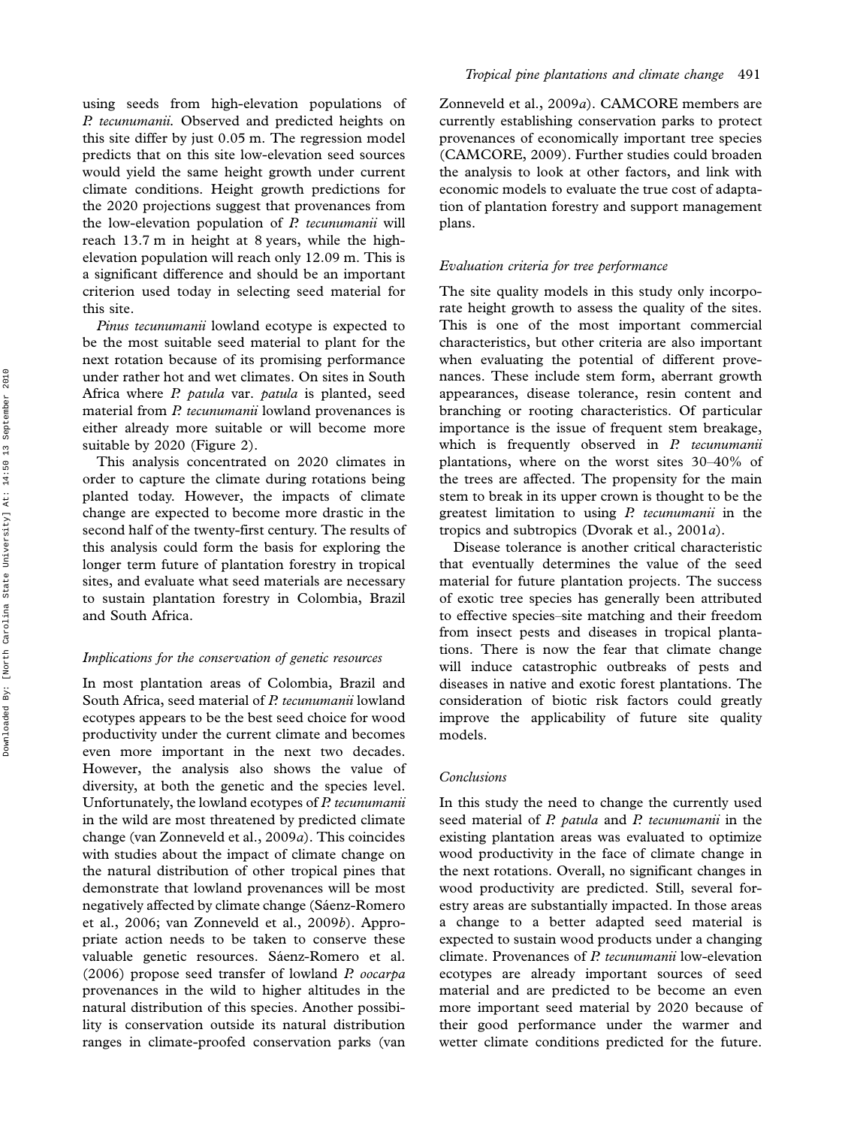using seeds from high-elevation populations of P. tecunumanii. Observed and predicted heights on this site differ by just 0.05 m. The regression model predicts that on this site low-elevation seed sources would yield the same height growth under current climate conditions. Height growth predictions for the 2020 projections suggest that provenances from the low-elevation population of  $P$ . tecunumanii will reach 13.7 m in height at 8 years, while the highelevation population will reach only 12.09 m. This is a significant difference and should be an important criterion used today in selecting seed material for this site.

Pinus tecunumanii lowland ecotype is expected to be the most suitable seed material to plant for the next rotation because of its promising performance under rather hot and wet climates. On sites in South Africa where P. patula var. patula is planted, seed material from P. tecunumanii lowland provenances is either already more suitable or will become more suitable by 2020 (Figure 2).

This analysis concentrated on 2020 climates in order to capture the climate during rotations being planted today. However, the impacts of climate change are expected to become more drastic in the second half of the twenty-first century. The results of this analysis could form the basis for exploring the longer term future of plantation forestry in tropical sites, and evaluate what seed materials are necessary to sustain plantation forestry in Colombia, Brazil and South Africa.

## Implications for the conservation of genetic resources

In most plantation areas of Colombia, Brazil and South Africa, seed material of P. tecunumanii lowland ecotypes appears to be the best seed choice for wood productivity under the current climate and becomes even more important in the next two decades. However, the analysis also shows the value of diversity, at both the genetic and the species level. Unfortunately, the lowland ecotypes of P. tecunumanii in the wild are most threatened by predicted climate change (van Zonneveld et al., 2009a). This coincides with studies about the impact of climate change on the natural distribution of other tropical pines that demonstrate that lowland provenances will be most negatively affected by climate change (Sáenz-Romero et al., 2006; van Zonneveld et al., 2009b). Appropriate action needs to be taken to conserve these valuable genetic resources. Sáenz-Romero et al. (2006) propose seed transfer of lowland P. oocarpa provenances in the wild to higher altitudes in the natural distribution of this species. Another possibility is conservation outside its natural distribution ranges in climate-proofed conservation parks (van

Zonneveld et al., 2009a). CAMCORE members are currently establishing conservation parks to protect provenances of economically important tree species (CAMCORE, 2009). Further studies could broaden the analysis to look at other factors, and link with economic models to evaluate the true cost of adaptation of plantation forestry and support management plans.

#### Evaluation criteria for tree performance

The site quality models in this study only incorporate height growth to assess the quality of the sites. This is one of the most important commercial characteristics, but other criteria are also important when evaluating the potential of different provenances. These include stem form, aberrant growth appearances, disease tolerance, resin content and branching or rooting characteristics. Of particular importance is the issue of frequent stem breakage, which is frequently observed in P. tecunumanii plantations, where on the worst sites 30-40% of the trees are affected. The propensity for the main stem to break in its upper crown is thought to be the greatest limitation to using  $P$ , tecunumanii in the tropics and subtropics (Dvorak et al., 2001a).

Disease tolerance is another critical characteristic that eventually determines the value of the seed material for future plantation projects. The success of exotic tree species has generally been attributed to effective species-site matching and their freedom from insect pests and diseases in tropical plantations. There is now the fear that climate change will induce catastrophic outbreaks of pests and diseases in native and exotic forest plantations. The consideration of biotic risk factors could greatly improve the applicability of future site quality models.

#### Conclusions

In this study the need to change the currently used seed material of P. patula and P. tecunumanii in the existing plantation areas was evaluated to optimize wood productivity in the face of climate change in the next rotations. Overall, no significant changes in wood productivity are predicted. Still, several forestry areas are substantially impacted. In those areas a change to a better adapted seed material is expected to sustain wood products under a changing climate. Provenances of P. tecunumanii low-elevation ecotypes are already important sources of seed material and are predicted to be become an even more important seed material by 2020 because of their good performance under the warmer and wetter climate conditions predicted for the future.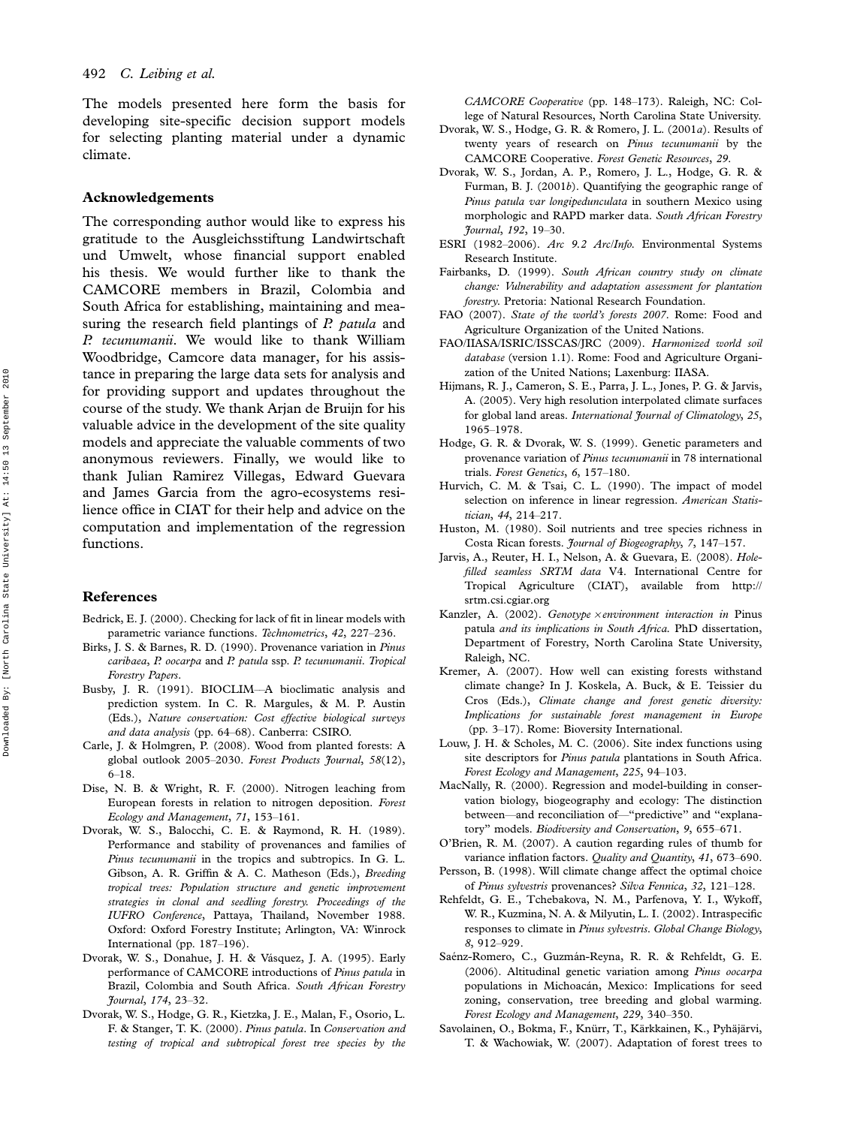The models presented here form the basis for developing site-specific decision support models for selecting planting material under a dynamic climate.

## Acknowledgements

The corresponding author would like to express his gratitude to the Ausgleichsstiftung Landwirtschaft und Umwelt, whose financial support enabled his thesis. We would further like to thank the CAMCORE members in Brazil, Colombia and South Africa for establishing, maintaining and measuring the research field plantings of  $P$ . patula and P. tecunumanii. We would like to thank William Woodbridge, Camcore data manager, for his assistance in preparing the large data sets for analysis and for providing support and updates throughout the course of the study. We thank Arjan de Bruijn for his valuable advice in the development of the site quality models and appreciate the valuable comments of two anonymous reviewers. Finally, we would like to thank Julian Ramirez Villegas, Edward Guevara and James Garcia from the agro-ecosystems resilience office in CIAT for their help and advice on the computation and implementation of the regression functions.

## References

- Bedrick, E. J. (2000). Checking for lack of fit in linear models with parametric variance functions. Technometrics, 42, 227-236.
- Birks, J. S. & Barnes, R. D. (1990). Provenance variation in Pinus caribaea, P. oocarpa and P. patula ssp. P. tecunumanii. Tropical Forestry Papers.
- Busby, J. R. (1991). BIOCLIM-A bioclimatic analysis and prediction system. In C. R. Margules, & M. P. Austin (Eds.), Nature conservation: Cost effective biological surveys and data analysis (pp. 64-68). Canberra: CSIRO.
- Carle, J. & Holmgren, P. (2008). Wood from planted forests: A global outlook 2005-2030. Forest Products Journal, 58(12),  $6-18.$
- Dise, N. B. & Wright, R. F. (2000). Nitrogen leaching from European forests in relation to nitrogen deposition. Forest Ecology and Management, 71, 153-161.
- Dvorak, W. S., Balocchi, C. E. & Raymond, R. H. (1989). Performance and stability of provenances and families of Pinus tecunumanii in the tropics and subtropics. In G. L. Gibson, A. R. Griffin & A. C. Matheson (Eds.), Breeding tropical trees: Population structure and genetic improvement strategies in clonal and seedling forestry. Proceedings of the IUFRO Conference, Pattaya, Thailand, November 1988. Oxford: Oxford Forestry Institute; Arlington, VA: Winrock International (pp. 187-196).
- Dvorak, W. S., Donahue, J. H. & Vásquez, J. A. (1995). Early performance of CAMCORE introductions of Pinus patula in Brazil, Colombia and South Africa. South African Forestry Fournal, 174, 23-32.
- Dvorak, W. S., Hodge, G. R., Kietzka, J. E., Malan, F., Osorio, L. F. & Stanger, T. K. (2000). Pinus patula. In Conservation and testing of tropical and subtropical forest tree species by the

CAMCORE Cooperative (pp. 148-173). Raleigh, NC: College of Natural Resources, North Carolina State University.

- Dvorak, W. S., Hodge, G. R. & Romero, J. L. (2001a). Results of twenty years of research on Pinus tecunumanii by the CAMCORE Cooperative. Forest Genetic Resources, 29.
- Dvorak, W. S., Jordan, A. P., Romero, J. L., Hodge, G. R. & Furman, B. J. (2001b). Quantifying the geographic range of Pinus patula var longipedunculata in southern Mexico using morphologic and RAPD marker data. South African Forestry Journal, 192, 1930.
- ESRI (1982-2006). Arc 9.2 Arc/Info. Environmental Systems Research Institute.
- Fairbanks, D. (1999). South African country study on climate change: Vulnerability and adaptation assessment for plantation forestry. Pretoria: National Research Foundation.
- FAO (2007). State of the world's forests 2007. Rome: Food and Agriculture Organization of the United Nations.
- FAO/IIASA/ISRIC/ISSCAS/JRC (2009). Harmonized world soil database (version 1.1). Rome: Food and Agriculture Organization of the United Nations; Laxenburg: IIASA.
- Hijmans, R. J., Cameron, S. E., Parra, J. L., Jones, P. G. & Jarvis, A. (2005). Very high resolution interpolated climate surfaces for global land areas. International Journal of Climatology, 25, 1065-1078
- Hodge, G. R. & Dvorak, W. S. (1999). Genetic parameters and provenance variation of Pinus tecunumanii in 78 international trials. Forest Genetics, 6, 157-180.
- Hurvich, C. M. & Tsai, C. L. (1990). The impact of model selection on inference in linear regression. American Statistician, 44, 214-217.
- Huston, M. (1980). Soil nutrients and tree species richness in Costa Rican forests. Journal of Biogeography, 7, 147-157.
- Jarvis, A., Reuter, H. I., Nelson, A. & Guevara, E. (2008). Holefilled seamless SRTM data V4. International Centre for Tropical Agriculture (CIAT), available from [http://](http://srtm.csi.cgiar.org) [srtm.csi.cgiar.org](http://srtm.csi.cgiar.org)
- Kanzler, A. (2002). Genotype xenvironment interaction in Pinus patula and its implications in South Africa. PhD dissertation, Department of Forestry, North Carolina State University, Raleigh, NC.
- Kremer, A. (2007). How well can existing forests withstand climate change? In J. Koskela, A. Buck, & E. Teissier du Cros (Eds.), Climate change and forest genetic diversity: Implications for sustainable forest management in Europe (pp. 3-17). Rome: Bioversity International.
- Louw, J. H. & Scholes, M. C. (2006). Site index functions using site descriptors for Pinus patula plantations in South Africa. Forest Ecology and Management, 225, 94-103.
- MacNally, R. (2000). Regression and model-building in conservation biology, biogeography and ecology: The distinction between-and reconciliation of-"predictive" and "explanatory" models. Biodiversity and Conservation, 9, 655-671.
- O'Brien, R. M. (2007). A caution regarding rules of thumb for variance inflation factors. Quality and Quantity, 41, 673-690.
- Persson, B. (1998). Will climate change affect the optimal choice of Pinus sylvestris provenances? Silva Fennica, 32, 121-128.
- Rehfeldt, G. E., Tchebakova, N. M., Parfenova, Y. I., Wykoff, W. R., Kuzmina, N. A. & Milyutin, L. I. (2002). Intraspecific responses to climate in Pinus sylvestris. Global Change Biology, 8, 912-929.
- Saénz-Romero, C., Guzmán-Reyna, R. R. & Rehfeldt, G. E. (2006). Altitudinal genetic variation among Pinus oocarpa populations in Michoacán, Mexico: Implications for seed zoning, conservation, tree breeding and global warming. Forest Ecology and Management, 229, 340-350.
- Savolainen, O., Bokma, F., Knürr, T., Kärkkainen, K., Pyhäjärvi, T. & Wachowiak, W. (2007). Adaptation of forest trees to